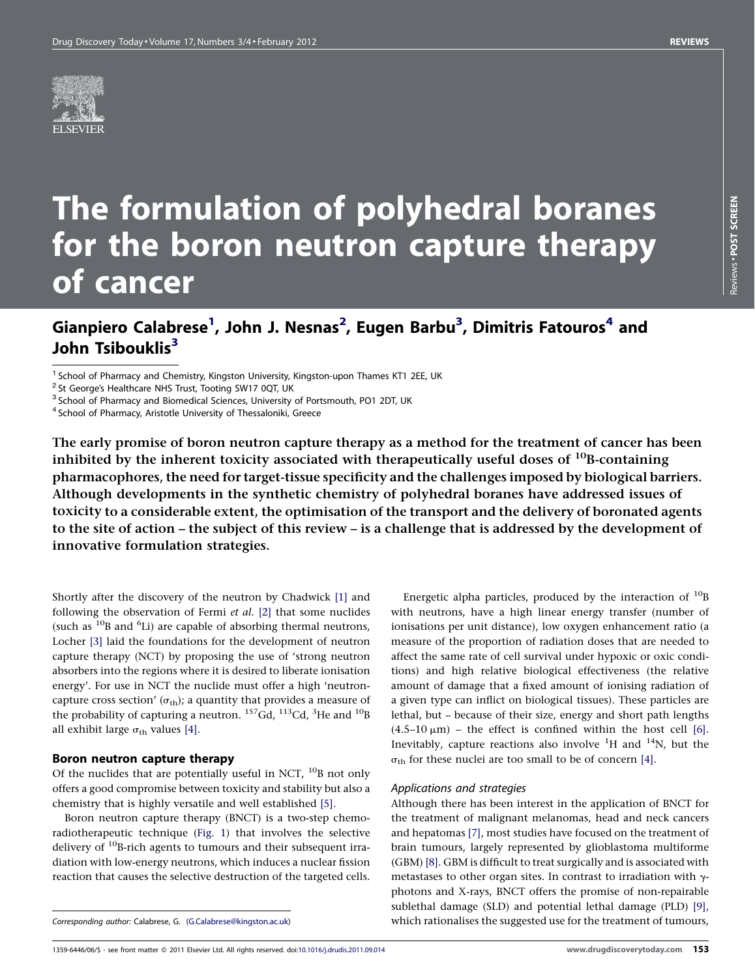

# The formulation of polyhedral boranes for the boron neutron capture therapy of cancer

### Gianpiero Calabrese<sup>1</sup>, John J. Nesnas<sup>2</sup>, Eugen Barbu<sup>3</sup>, Dimitris Fatouros<sup>4</sup> and John Tsibouklis<sup>3</sup>

The early promise of boron neutron capture therapy as a method for the treatment of cancer has been inhibited by the inherent toxicity associated with therapeutically useful doses of  $^{10}$ B-containing pharmacophores, the need for target-tissue specificity and the challenges imposed by biological barriers. Although developments in the synthetic chemistry of polyhedral boranes have addressed issues of toxicity to a considerable extent, the optimisation of the transport and the delivery of boronated agents to the site of action – the subject of this review – is a challenge that is addressed by the development of innovative formulation strategies.

Shortly after the discovery of the neutron by Chadwick [\[1\]](#page-5-0) and following the observation of Fermi et al. [\[2\]](#page-5-0) that some nuclides (such as  $^{10}$ B and  $^{6}$ Li) are capable of absorbing thermal neutrons, Locher [\[3\]](#page-5-0) laid the foundations for the development of neutron capture therapy (NCT) by proposing the use of 'strong neutron absorbers into the regions where it is desired to liberate ionisation energy'. For use in NCT the nuclide must offer a high 'neutroncapture cross section' ( $\sigma_{\text{th}}$ ); a quantity that provides a measure of the probability of capturing a neutron.  $^{157}$ Gd,  $^{113}$ Cd,  $^{3}$ He and  $^{10}$ B all exhibit large  $\sigma_{th}$  values [\[4\]](#page-5-0).

#### Boron neutron capture therapy

Of the nuclides that are potentially useful in NCT,  $^{10}$ B not only offers a good compromise between toxicity and stability but also a chemistry that is highly versatile and well established [\[5\]](#page-5-0).

Boron neutron capture therapy (BNCT) is a two-step chemoradiotherapeutic technique [\(Fig.](#page-1-0) 1) that involves the selective delivery of  $^{10}$ B-rich agents to tumours and their subsequent irradiation with low-energy neutrons, which induces a nuclear fission reaction that causes the selective destruction of the targeted cells.

Energetic alpha particles, produced by the interaction of  $^{10}$ B with neutrons, have a high linear energy transfer (number of ionisations per unit distance), low oxygen enhancement ratio (a measure of the proportion of radiation doses that are needed to affect the same rate of cell survival under hypoxic or oxic conditions) and high relative biological effectiveness (the relative amount of damage that a fixed amount of ionising radiation of a given type can inflict on biological tissues). These particles are lethal, but – because of their size, energy and short path lengths  $(4.5-10 \mu m)$  – the effect is confined within the host cell [\[6\].](#page-5-0) Inevitably, capture reactions also involve  ${}^{1}H$  and  ${}^{14}N$ , but the  $\sigma_{\text{th}}$  for these nuclei are too small to be of concern [\[4\]](#page-5-0).

#### Applications and strategies

Although there has been interest in the application of BNCT for the treatment of malignant melanomas, head and neck cancers and hepatomas [\[7\]](#page-5-0), most studies have focused on the treatment of brain tumours, largely represented by glioblastoma multiforme (GBM) [\[8\].](#page-5-0) GBM is difficult to treat surgically and is associated with metastases to other organ sites. In contrast to irradiation with  $\gamma$ photons and X-rays, BNCT offers the promise of non-repairable sublethal damage (SLD) and potential lethal damage (PLD) [\[9\],](#page-5-0) which rationalises the suggested use for the treatment of tumours,

<sup>&</sup>lt;sup>1</sup> School of Pharmacy and Chemistry, Kingston University, Kingston-upon Thames KT1 2EE, UK  $^2$  St George's Healthcare NHS Trust, Tooting SW17 0QT, UK  $^3$  School of Pharmacy and Biomedical Sciences, University of Portsm

Corresponding author: Calabrese, G. [\(G.Calabrese@kingston.ac.uk\)](mailto:G.Calabrese@kingston.ac.uk)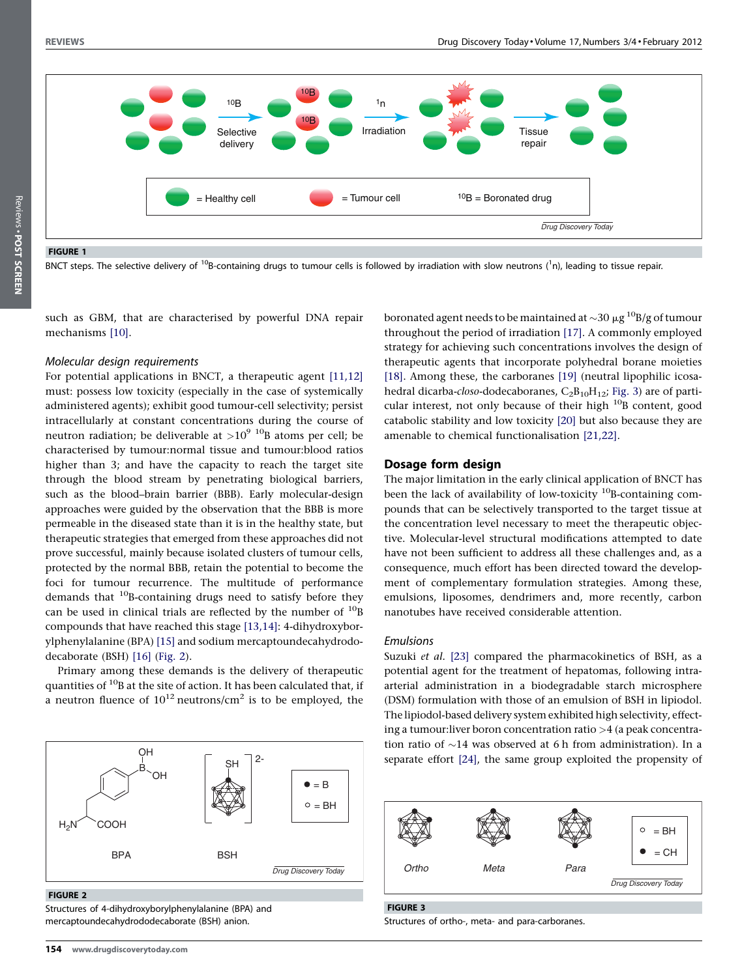Reviews . POST SCREEN

<span id="page-1-0"></span>

FIGURE 1

BNCT steps. The selective delivery of <sup>10</sup>B-containing drugs to tumour cells is followed by irradiation with slow neutrons (<sup>1</sup>n), leading to tissue repair.

such as GBM, that are characterised by powerful DNA repair mechanisms [\[10\]](#page-5-0).

#### Molecular design requirements

For potential applications in BNCT, a therapeutic agent [\[11,12\]](#page-5-0) must: possess low toxicity (especially in the case of systemically administered agents); exhibit good tumour-cell selectivity; persist intracellularly at constant concentrations during the course of neutron radiation; be deliverable at  $>10^{9}$  <sup>10</sup>B atoms per cell; be characterised by tumour:normal tissue and tumour:blood ratios higher than 3; and have the capacity to reach the target site through the blood stream by penetrating biological barriers, such as the blood–brain barrier (BBB). Early molecular-design approaches were guided by the observation that the BBB is more permeable in the diseased state than it is in the healthy state, but therapeutic strategies that emerged from these approaches did not prove successful, mainly because isolated clusters of tumour cells, protected by the normal BBB, retain the potential to become the foci for tumour recurrence. The multitude of performance demands that  $10B$ -containing drugs need to satisfy before they can be used in clinical trials are reflected by the number of  $^{10}$ B compounds that have reached this stage [\[13,14\]](#page-5-0): 4-dihydroxyborylphenylalanine (BPA) [\[15\]](#page-5-0) and sodium mercaptoundecahydrododecaborate (BSH) [\[16\]](#page-5-0) (Fig. 2).

Primary among these demands is the delivery of therapeutic quantities of  $^{10}$ B at the site of action. It has been calculated that, if a neutron fluence of  $10^{12}$  neutrons/cm<sup>2</sup> is to be employed, the



#### FIGURE 2

Structures of 4-dihydroxyborylphenylalanine (BPA) and mercaptoundecahydrododecaborate (BSH) anion.

boronated agent needs to be maintained at  $\sim$ 30  $\mu$ g  $^{10}$ B/g of tumour throughout the period of irradiation [\[17\]](#page-5-0). A commonly employed strategy for achieving such concentrations involves the design of therapeutic agents that incorporate polyhedral borane moieties [\[18\]](#page-5-0). Among these, the carboranes [\[19\]](#page-5-0) (neutral lipophilic icosahedral dicarba-closo-dodecaboranes,  $C_2B_{10}H_{12}$ ; Fig. 3) are of particular interest, not only because of their high  $^{10}$ B content, good catabolic stability and low toxicity [\[20\]](#page-5-0) but also because they are amenable to chemical functionalisation [\[21,22\].](#page-5-0)

#### Dosage form design

The major limitation in the early clinical application of BNCT has been the lack of availability of low-toxicity  $10B$ -containing compounds that can be selectively transported to the target tissue at the concentration level necessary to meet the therapeutic objective. Molecular-level structural modifications attempted to date have not been sufficient to address all these challenges and, as a consequence, much effort has been directed toward the development of complementary formulation strategies. Among these, emulsions, liposomes, dendrimers and, more recently, carbon nanotubes have received considerable attention.

#### Emulsions

Suzuki et al. [\[23\]](#page-5-0) compared the pharmacokinetics of BSH, as a potential agent for the treatment of hepatomas, following intraarterial administration in a biodegradable starch microsphere (DSM) formulation with those of an emulsion of BSH in lipiodol. The lipiodol-based delivery system exhibited high selectivity, effecting a tumour:liver boron concentration ratio >4 (a peak concentration ratio of  $\sim$ 14 was observed at 6 h from administration). In a separate effort [\[24\]](#page-5-0), the same group exploited the propensity of



#### FIGURE 3

Structures of ortho-, meta- and para-carboranes.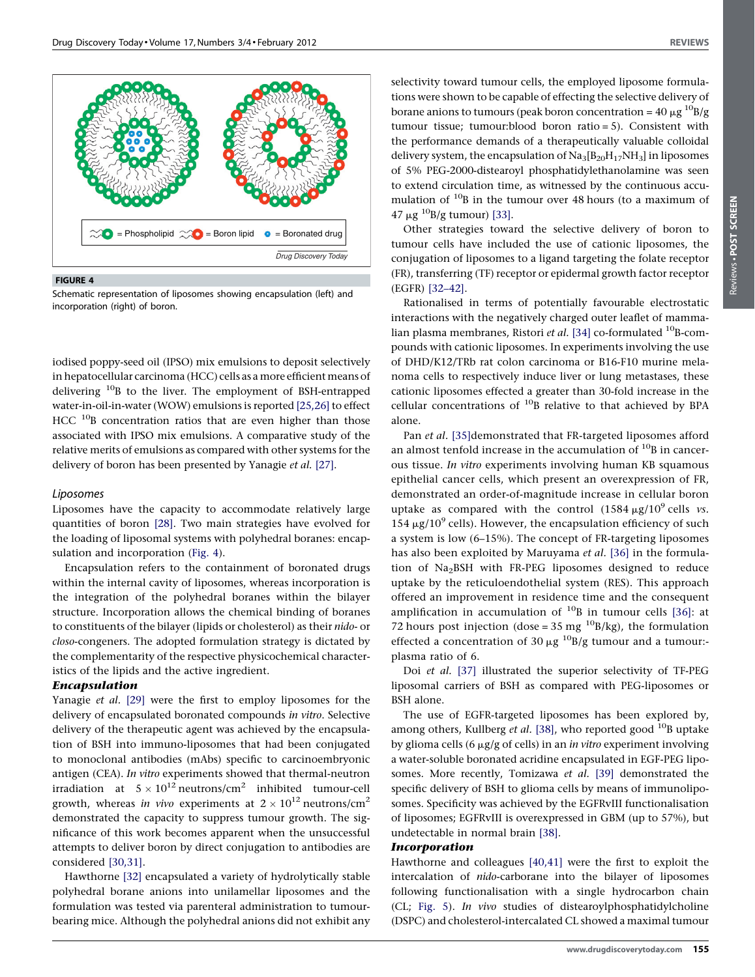

FIGURE 4

Schematic representation of liposomes showing encapsulation (left) and incorporation (right) of boron.

iodised poppy-seed oil (IPSO) mix emulsions to deposit selectively inhepatocellular carcinoma (HCC) cells as a more efficient means of delivering 10B to the liver. The employment of BSH-entrapped water-in-oil-in-water(WOW) emulsions is reported [\[25,26\]](#page-5-0) to effect  $HCC$ <sup>10</sup>B concentration ratios that are even higher than those associated with IPSO mix emulsions. A comparative study of the relative merits of emulsions as compared with other systems for the delivery of boron has been presented by Yanagie et al. [\[27\].](#page-5-0)

#### Liposomes

Liposomes have the capacity to accommodate relatively large quantities of boron [\[28\].](#page-5-0) Two main strategies have evolved for the loading of liposomal systems with polyhedral boranes: encapsulation and incorporation (Fig. 4).

Encapsulation refers to the containment of boronated drugs within the internal cavity of liposomes, whereas incorporation is the integration of the polyhedral boranes within the bilayer structure. Incorporation allows the chemical binding of boranes to constituents of the bilayer (lipids or cholesterol) as their nido- or closo-congeners. The adopted formulation strategy is dictated by the complementarity of the respective physicochemical characteristics of the lipids and the active ingredient.

#### Encapsulation

Yanagie et al. [\[29\]](#page-5-0) were the first to employ liposomes for the delivery of encapsulated boronated compounds in vitro. Selective delivery of the therapeutic agent was achieved by the encapsulation of BSH into immuno-liposomes that had been conjugated to monoclonal antibodies (mAbs) specific to carcinoembryonic antigen (CEA). In vitro experiments showed that thermal-neutron irradiation at  $5 \times 10^{12}$  neutrons/cm<sup>2</sup> inhibited tumour-cell growth, whereas in vivo experiments at  $2 \times 10^{12}$  neutrons/cm<sup>2</sup> demonstrated the capacity to suppress tumour growth. The significance of this work becomes apparent when the unsuccessful attempts to deliver boron by direct conjugation to antibodies are considered [\[30,31\].](#page-5-0)

Hawthorne [\[32\]](#page-5-0) encapsulated a variety of hydrolytically stable polyhedral borane anions into unilamellar liposomes and the formulation was tested via parenteral administration to tumourbearing mice. Although the polyhedral anions did not exhibit any

selectivity toward tumour cells, the employed liposome formulations were shown to be capable of effecting the selective delivery of borane anions to tumours (peak boron concentration =  $40 \mu g^{10}B/g$ tumour tissue; tumour:blood boron ratio = 5). Consistent with the performance demands of a therapeutically valuable colloidal delivery system, the encapsulation of  $Na<sub>3</sub>[B<sub>20</sub>H<sub>17</sub>NH<sub>3</sub>]$  in liposomes of 5% PEG-2000-distearoyl phosphatidylethanolamine was seen to extend circulation time, as witnessed by the continuous accumulation of <sup>10</sup>B in the tumour over 48 hours (to a maximum of  $47 \mu g^{10}B/g$  tumour) [\[33\].](#page-5-0)

Other strategies toward the selective delivery of boron to tumour cells have included the use of cationic liposomes, the conjugation of liposomes to a ligand targeting the folate receptor (FR), transferring (TF) receptor or epidermal growth factor receptor (EGFR) [\[32–42\].](#page-5-0)

Rationalised in terms of potentially favourable electrostatic interactions with the negatively charged outer leaflet of mamma-lian plasma membranes, Ristori et al. [\[34\]](#page-5-0) co-formulated  $^{10}$ B-compounds with cationic liposomes. In experiments involving the use of DHD/K12/TRb rat colon carcinoma or B16-F10 murine melanoma cells to respectively induce liver or lung metastases, these cationic liposomes effected a greater than 30-fold increase in the cellular concentrations of  $^{10}$ B relative to that achieved by BPA alone.

Pan et al. [\[35\]](#page-5-0)demonstrated that FR-targeted liposomes afford an almost tenfold increase in the accumulation of  $^{10}$ B in cancerous tissue. In vitro experiments involving human KB squamous epithelial cancer cells, which present an overexpression of FR, demonstrated an order-of-magnitude increase in cellular boron uptake as compared with the control  $(1584 \,\mu g/10^9 \,\text{cells} \, vs.$ 154  $\mu$ g/10<sup>9</sup> cells). However, the encapsulation efficiency of such a system is low (6–15%). The concept of FR-targeting liposomes has also been exploited by Maruyama et al. [\[36\]](#page-5-0) in the formulation of Na2BSH with FR-PEG liposomes designed to reduce uptake by the reticuloendothelial system (RES). This approach offered an improvement in residence time and the consequent amplification in accumulation of  $^{10}$ B in tumour cells [\[36\]](#page-5-0): at 72 hours post injection (dose =  $35 \text{ mg}^{-10}$ B/kg), the formulation effected a concentration of 30  $\mu$ g <sup>10</sup>B/g tumour and a tumour:plasma ratio of 6.

Doi et al. [\[37\]](#page-5-0) illustrated the superior selectivity of TF-PEG liposomal carriers of BSH as compared with PEG-liposomes or BSH alone.

The use of EGFR-targeted liposomes has been explored by, among others, Kullberg *et al.* [\[38\],](#page-5-0) who reported good  $^{10}$ B uptake by glioma cells (6  $\mu$ g/g of cells) in an *in vitro* experiment involving a water-soluble boronated acridine encapsulated in EGF-PEG liposomes. More recently, Tomizawa et al. [\[39\]](#page-5-0) demonstrated the specific delivery of BSH to glioma cells by means of immunoliposomes. Specificity was achieved by the EGFRvIII functionalisation of liposomes; EGFRvIII is overexpressed in GBM (up to 57%), but undetectable in normal brain [\[38\].](#page-5-0)

#### Incorporation

Hawthorne and colleagues [\[40,41\]](#page-5-0) were the first to exploit the intercalation of nido-carborane into the bilayer of liposomes following functionalisation with a single hydrocarbon chain (CL; [Fig.](#page-3-0) 5). In vivo studies of distearoylphosphatidylcholine (DSPC) and cholesterol-intercalated CL showed a maximal tumour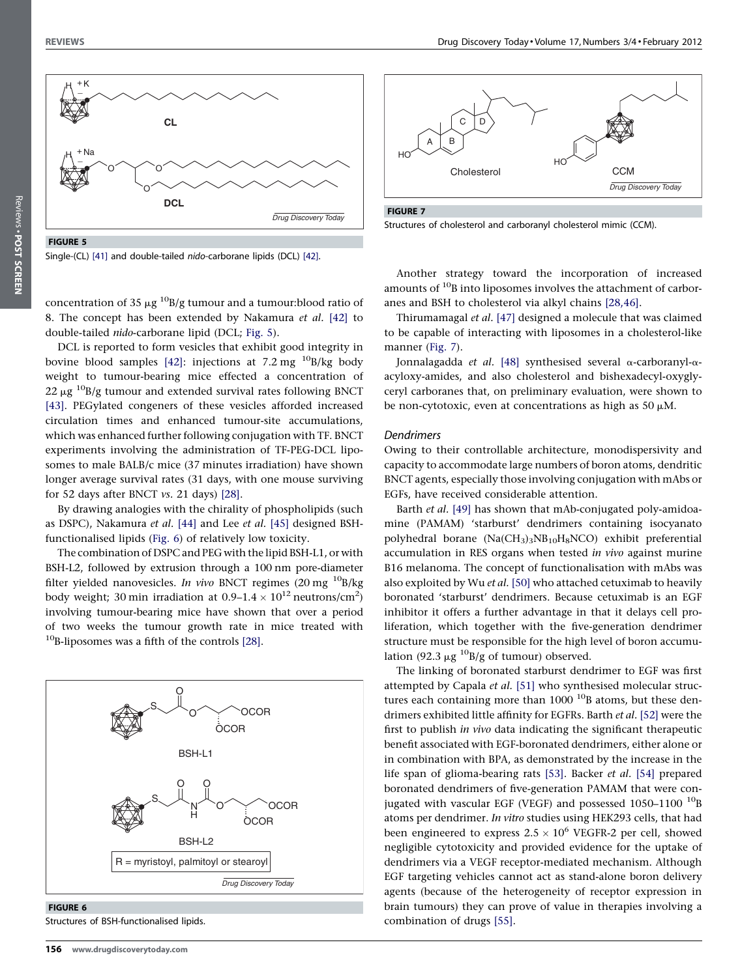<span id="page-3-0"></span>

FIGURE 5

Single-(CL) [\[41\]](#page-5-0) and double-tailed nido-carborane lipids (DCL) [\[42\].](#page-5-0)

concentration of 35  $\mu$ g <sup>10</sup>B/g tumour and a tumour:blood ratio of 8. The concept has been extended by Nakamura et al. [\[42\]](#page-5-0) to double-tailed nido-carborane lipid (DCL; Fig. 5).

DCL is reported to form vesicles that exhibit good integrity in bovine blood samples [\[42\]:](#page-5-0) injections at 7.2 mg  $^{10}B/kg$  body weight to tumour-bearing mice effected a concentration of  $22 \mu g$  <sup>10</sup>B/g tumour and extended survival rates following BNCT [\[43\]](#page-5-0). PEGylated congeners of these vesicles afforded increased circulation times and enhanced tumour-site accumulations, which was enhanced further following conjugation with TF. BNCT experiments involving the administration of TF-PEG-DCL liposomes to male BALB/c mice (37 minutes irradiation) have shown longer average survival rates (31 days, with one mouse surviving for 52 days after BNCT vs. 21 days) [\[28\].](#page-5-0)

By drawing analogies with the chirality of phospholipids (such as DSPC), Nakamura et al. [\[44\]](#page-5-0) and Lee et al. [\[45\]](#page-5-0) designed BSHfunctionalised lipids (Fig. 6) of relatively low toxicity.

The combination of DSPC and PEG with the lipid BSH-L1, or with BSH-L2, followed by extrusion through a 100 nm pore-diameter filter yielded nanovesicles. In vivo BNCT regimes  $(20 \text{ mg}^{-10}B/kg)$ body weight; 30 min irradiation at 0.9–1.4  $\times$   $10^{12}$  neutrons/cm<sup>2</sup>) involving tumour-bearing mice have shown that over a period of two weeks the tumour growth rate in mice treated with  $10B$ -liposomes was a fifth of the controls [\[28\].](#page-5-0)



FIGURE 6

Structures of BSH-functionalised lipids.



FIGURE 7

Structures of cholesterol and carboranyl cholesterol mimic (CCM).

Another strategy toward the incorporation of increased amounts of <sup>10</sup>B into liposomes involves the attachment of carboranes and BSH to cholesterol via alkyl chains [\[28,46\].](#page-5-0)

Thirumamagal et al. [\[47\]](#page-5-0) designed a molecule that was claimed to be capable of interacting with liposomes in a cholesterol-like manner (Fig. 7).

Jonnalagadda et al. [\[48\]](#page-5-0) synthesised several  $\alpha$ -carboranyl- $\alpha$ acyloxy-amides, and also cholesterol and bishexadecyl-oxyglyceryl carboranes that, on preliminary evaluation, were shown to be non-cytotoxic, even at concentrations as high as 50  $\mu$ M.

#### Dendrimers

Owing to their controllable architecture, monodispersivity and capacity to accommodate large numbers of boron atoms, dendritic BNCT agents, especially those involving conjugation with mAbs or EGFs, have received considerable attention.

Barth et al. [\[49\]](#page-5-0) has shown that mAb-conjugated poly-amidoamine (PAMAM) 'starburst' dendrimers containing isocyanato polyhedral borane (Na(CH3)3NB10H8NCO) exhibit preferential accumulation in RES organs when tested in vivo against murine B16 melanoma. The concept of functionalisation with mAbs was also exploited by Wu et al. [\[50\]](#page-5-0) who attached cetuximab to heavily boronated 'starburst' dendrimers. Because cetuximab is an EGF inhibitor it offers a further advantage in that it delays cell proliferation, which together with the five-generation dendrimer structure must be responsible for the high level of boron accumulation (92.3  $\mu$ g <sup>10</sup>B/g of tumour) observed.

The linking of boronated starburst dendrimer to EGF was first attempted by Capala et al. [\[51\]](#page-5-0) who synthesised molecular structures each containing more than  $1000$  <sup>10</sup>B atoms, but these dendrimers exhibited little affinity for EGFRs. Barth et al. [\[52\]](#page-5-0) were the first to publish in vivo data indicating the significant therapeutic benefit associated with EGF-boronated dendrimers, either alone or in combination with BPA, as demonstrated by the increase in the life span of glioma-bearing rats [\[53\].](#page-5-0) Backer et al. [\[54\]](#page-5-0) prepared boronated dendrimers of five-generation PAMAM that were conjugated with vascular EGF (VEGF) and possessed  $1050-1100$  <sup>10</sup>B atoms per dendrimer. In vitro studies using HEK293 cells, that had been engineered to express  $2.5 \times 10^6$  VEGFR-2 per cell, showed negligible cytotoxicity and provided evidence for the uptake of dendrimers via a VEGF receptor-mediated mechanism. Although EGF targeting vehicles cannot act as stand-alone boron delivery agents (because of the heterogeneity of receptor expression in brain tumours) they can prove of value in therapies involving a combination of drugs [\[55\]](#page-5-0).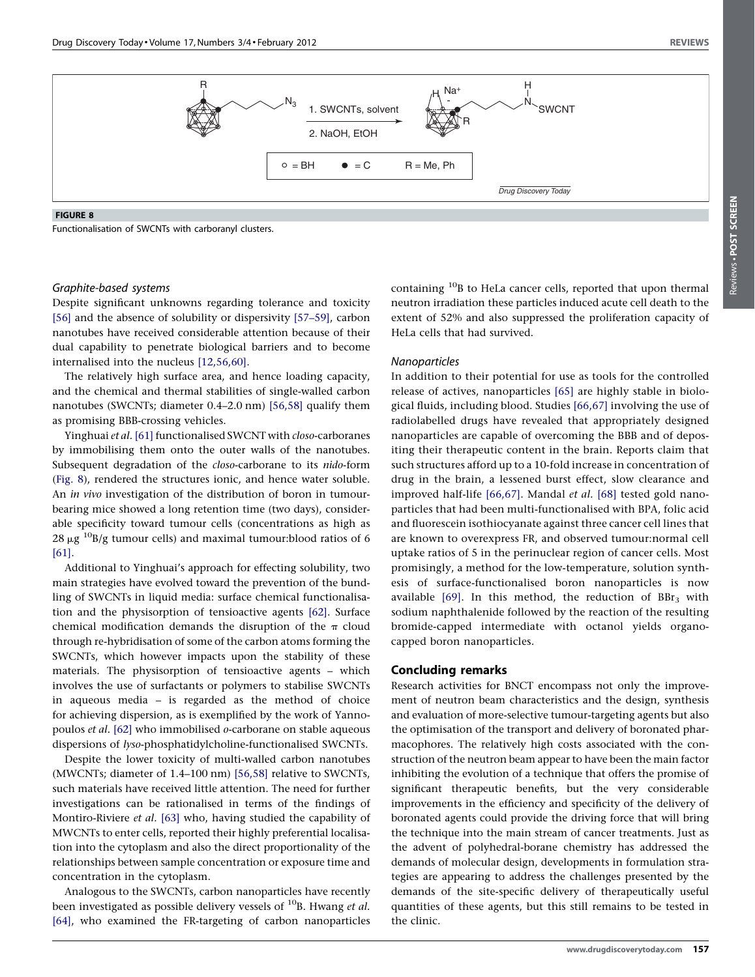

FIGURE 8

Functionalisation of SWCNTs with carboranyl clusters.

## Reviews . POST SCREEN POST SCREENReviews -

#### Graphite-based systems

Despite significant unknowns regarding tolerance and toxicity [\[56\]](#page-5-0) and the absence of solubility or dispersivity [\[57–59\],](#page-5-0) carbon nanotubes have received considerable attention because of their dual capability to penetrate biological barriers and to become internalised into the nucleus [\[12,56,60\]](#page-5-0).

The relatively high surface area, and hence loading capacity, and the chemical and thermal stabilities of single-walled carbon nanotubes (SWCNTs; diameter 0.4–2.0 nm) [\[56,58\]](#page-5-0) qualify them as promising BBB-crossing vehicles.

Yinghuai et al. [\[61\]](#page-6-0) functionalised SWCNT with closo-carboranes by immobilising them onto the outer walls of the nanotubes. Subsequent degradation of the closo-carborane to its nido-form (Fig. 8), rendered the structures ionic, and hence water soluble. An in vivo investigation of the distribution of boron in tumourbearing mice showed a long retention time (two days), considerable specificity toward tumour cells (concentrations as high as 28  $\mu$ g <sup>10</sup>B/g tumour cells) and maximal tumour:blood ratios of 6 [\[61\].](#page-6-0)

Additional to Yinghuai's approach for effecting solubility, two main strategies have evolved toward the prevention of the bundling of SWCNTs in liquid media: surface chemical functionalisation and the physisorption of tensioactive agents [\[62\].](#page-6-0) Surface chemical modification demands the disruption of the  $\pi$  cloud through re-hybridisation of some of the carbon atoms forming the SWCNTs, which however impacts upon the stability of these materials. The physisorption of tensioactive agents – which involves the use of surfactants or polymers to stabilise SWCNTs in aqueous media – is regarded as the method of choice for achieving dispersion, as is exemplified by the work of Yannopoulos et al. [\[62\]](#page-6-0) who immobilised o-carborane on stable aqueous dispersions of lyso-phosphatidylcholine-functionalised SWCNTs.

Despite the lower toxicity of multi-walled carbon nanotubes (MWCNTs; diameter of 1.4–100 nm) [\[56,58\]](#page-5-0) relative to SWCNTs, such materials have received little attention. The need for further investigations can be rationalised in terms of the findings of Montiro-Riviere et al. [\[63\]](#page-6-0) who, having studied the capability of MWCNTs to enter cells, reported their highly preferential localisation into the cytoplasm and also the direct proportionality of the relationships between sample concentration or exposure time and concentration in the cytoplasm.

Analogous to the SWCNTs, carbon nanoparticles have recently been investigated as possible delivery vessels of  $^{10}$ B. Hwang *et al.* [\[64\],](#page-6-0) who examined the FR-targeting of carbon nanoparticles containing 10B to HeLa cancer cells, reported that upon thermal neutron irradiation these particles induced acute cell death to the extent of 52% and also suppressed the proliferation capacity of HeLa cells that had survived.

#### Nanoparticles

In addition to their potential for use as tools for the controlled release of actives, nanoparticles [\[65\]](#page-6-0) are highly stable in biological fluids, including blood. Studies [\[66,67\]](#page-6-0) involving the use of radiolabelled drugs have revealed that appropriately designed nanoparticles are capable of overcoming the BBB and of depositing their therapeutic content in the brain. Reports claim that such structures afford up to a 10-fold increase in concentration of drug in the brain, a lessened burst effect, slow clearance and improved half-life [\[66,67\]](#page-6-0). Mandal et al. [\[68\]](#page-6-0) tested gold nanoparticles that had been multi-functionalised with BPA, folic acid and fluorescein isothiocyanate against three cancer cell lines that are known to overexpress FR, and observed tumour:normal cell uptake ratios of 5 in the perinuclear region of cancer cells. Most promisingly, a method for the low-temperature, solution synthesis of surface-functionalised boron nanoparticles is now available [\[69\]](#page-6-0). In this method, the reduction of  $BBr<sub>3</sub>$  with sodium naphthalenide followed by the reaction of the resulting bromide-capped intermediate with octanol yields organocapped boron nanoparticles.

#### Concluding remarks

Research activities for BNCT encompass not only the improvement of neutron beam characteristics and the design, synthesis and evaluation of more-selective tumour-targeting agents but also the optimisation of the transport and delivery of boronated pharmacophores. The relatively high costs associated with the construction of the neutron beam appear to have been the main factor inhibiting the evolution of a technique that offers the promise of significant therapeutic benefits, but the very considerable improvements in the efficiency and specificity of the delivery of boronated agents could provide the driving force that will bring the technique into the main stream of cancer treatments. Just as the advent of polyhedral-borane chemistry has addressed the demands of molecular design, developments in formulation strategies are appearing to address the challenges presented by the demands of the site-specific delivery of therapeutically useful quantities of these agents, but this still remains to be tested in the clinic.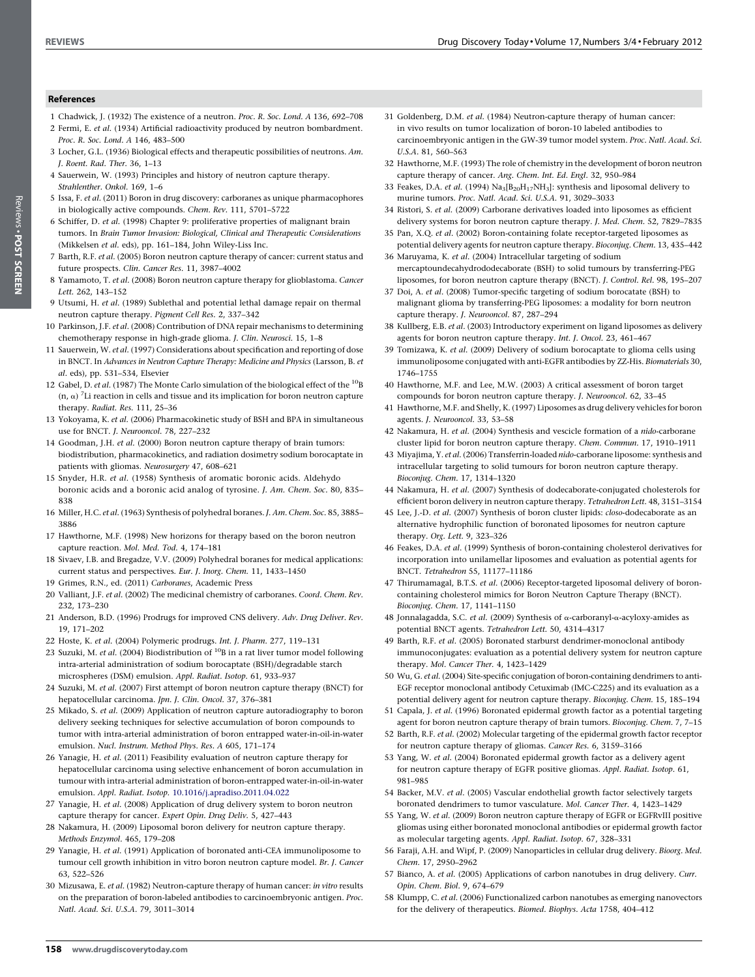#### <span id="page-5-0"></span>References

- 1 Chadwick, J. (1932) The existence of a neutron. Proc. R. Soc. Lond. A 136, 692–708 2 Fermi, E. et al. (1934) Artificial radioactivity produced by neutron bombardment.
- Proc. R. Soc. Lond. A 146, 483–500 3 Locher, G.L. (1936) Biological effects and therapeutic possibilities of neutrons. Am. J. Roent. Rad. Ther. 36, 1–13
- 4 Sauerwein, W. (1993) Principles and history of neutron capture therapy. Strahlenther. Onkol. 169, 1–6
- 5 Issa, F. et al. (2011) Boron in drug discovery: carboranes as unique pharmacophores in biologically active compounds. Chem. Rev. 111, 5701–5722
- 6 Schiffer, D. et al. (1998) Chapter 9: proliferative properties of malignant brain tumors. In Brain Tumor Invasion: Biological, Clinical and Therapeutic Considerations (Mikkelsen et al. eds), pp. 161–184, John Wiley-Liss Inc.
- 7 Barth, R.F. et al. (2005) Boron neutron capture therapy of cancer: current status and future prospects. Clin. Cancer Res. 11, 3987–4002
- 8 Yamamoto, T. et al. (2008) Boron neutron capture therapy for glioblastoma. Cancer Lett. 262, 143–152
- 9 Utsumi, H. et al. (1989) Sublethal and potential lethal damage repair on thermal neutron capture therapy. Pigment Cell Res. 2, 337–342
- 10 Parkinson, J.F. et al. (2008) Contribution of DNA repair mechanisms to determining chemotherapy response in high-grade glioma. J. Clin. Neurosci. 15, 1–8
- 11 Sauerwein, W. et al. (1997) Considerations about specification and reporting of dose in BNCT. In Advances in Neutron Capture Therapy: Medicine and Physics (Larsson, B. et al. eds), pp. 531–534, Elsevier
- 12 Gabel, D. et al. (1987) The Monte Carlo simulation of the biological effect of the  $^{10}$ B  $(n, \alpha)$ <sup>7</sup>Li reaction in cells and tissue and its implication for boron neutron capture therapy. Radiat. Res. 111, 25–36
- 13 Yokoyama, K. et al. (2006) Pharmacokinetic study of BSH and BPA in simultaneous use for BNCT. J. Neurooncol. 78, 227–232
- 14 Goodman, J.H. et al. (2000) Boron neutron capture therapy of brain tumors: biodistribution, pharmacokinetics, and radiation dosimetry sodium borocaptate in patients with gliomas. Neurosurgery 47, 608–621
- 15 Snyder, H.R. et al. (1958) Synthesis of aromatic boronic acids. Aldehydo boronic acids and a boronic acid analog of tyrosine. J. Am. Chem. Soc. 80, 835– 838
- 16 Miller, H.C. et al. (1963) Synthesis of polyhedral boranes. J. Am. Chem. Soc. 85, 3885– 3886
- 17 Hawthorne, M.F. (1998) New horizons for therapy based on the boron neutron capture reaction. Mol. Med. Tod. 4, 174–181
- 18 Sivaev, I.B. and Bregadze, V.V. (2009) Polyhedral boranes for medical applications: current status and perspectives. Eur. J. Inorg. Chem. 11, 1433–1450
- 19 Grimes, R.N., ed. (2011) Carboranes, Academic Press
- 20 Valliant, J.F. et al. (2002) The medicinal chemistry of carboranes. Coord. Chem. Rev. 232, 173–230
- 21 Anderson, B.D. (1996) Prodrugs for improved CNS delivery. Adv. Drug Deliver. Rev. 19, 171–202
- 22 Hoste, K. et al. (2004) Polymeric prodrugs. Int. J. Pharm. 277, 119–131
- 23 Suzuki, M. et al. (2004) Biodistribution of  $^{10}$ B in a rat liver tumor model following intra-arterial administration of sodium borocaptate (BSH)/degradable starch microspheres (DSM) emulsion. Appl. Radiat. Isotop. 61, 933–937
- 24 Suzuki, M. et al. (2007) First attempt of boron neutron capture therapy (BNCT) for hepatocellular carcinoma. Jpn. J. Clin. Oncol. 37, 376-381
- 25 Mikado, S. et al. (2009) Application of neutron capture autoradiography to boron delivery seeking techniques for selective accumulation of boron compounds to tumor with intra-arterial administration of boron entrapped water-in-oil-in-water emulsion. Nucl. Instrum. Method Phys. Res. A 605, 171–174
- 26 Yanagie, H. et al. (2011) Feasibility evaluation of neutron capture therapy for hepatocellular carcinoma using selective enhancement of boron accumulation in tumour with intra-arterial administration of boron-entrapped water-in-oil-in-water emulsion. Appl. Radiat. Isotop. [10.1016/j.apradiso.2011.04.022](http://dx.doi.org/10.1016/j.apradiso.2011.04.022)
- 27 Yanagie, H. et al. (2008) Application of drug delivery system to boron neutron capture therapy for cancer. Expert Opin. Drug Deliv. 5, 427–443
- 28 Nakamura, H. (2009) Liposomal boron delivery for neutron capture therapy. Methods Enzymol. 465, 179–208
- 29 Yanagie, H. et al. (1991) Application of boronated anti-CEA immunoliposome to tumour cell growth inhibition in vitro boron neutron capture model. Br. J. Cancer 63, 522–526
- 30 Mizusawa, E. et al. (1982) Neutron-capture therapy of human cancer: in vitro results on the preparation of boron-labeled antibodies to carcinoembryonic antigen. Proc. Natl. Acad. Sci. U.S.A. 79, 3011–3014
- 31 Goldenberg, D.M. et al. (1984) Neutron-capture therapy of human cancer: in vivo results on tumor localization of boron-10 labeled antibodies to carcinoembryonic antigen in the GW-39 tumor model system. Proc. Natl. Acad. Sci. U.S.A. 81, 560–563
- 32 Hawthorne, M.F. (1993) The role of chemistry in the development of boron neutron capture therapy of cancer. Ang. Chem. Int. Ed. Engl. 32, 950–984
- 33 Feakes, D.A. et al. (1994)  $\rm Na_3[B_{20}H_{17}NH_3]$ : synthesis and liposomal delivery to murine tumors. Proc. Natl. Acad. Sci. U.S.A. 91, 3029–3033
- 34 Ristori, S. et al. (2009) Carborane derivatives loaded into liposomes as efficient delivery systems for boron neutron capture therapy. J. Med. Chem. 52, 7829–7835
- 35 Pan, X.Q. et al. (2002) Boron-containing folate receptor-targeted liposomes as potential delivery agents for neutron capture therapy. Bioconjug. Chem. 13, 435–442
- 36 Maruyama, K. et al. (2004) Intracellular targeting of sodium mercaptoundecahydrododecaborate (BSH) to solid tumours by transferring-PEG liposomes, for boron neutron capture therapy (BNCT). J. Control. Rel. 98, 195–207
- 37 Doi, A. et al. (2008) Tumor-specific targeting of sodium borocatate (BSH) to malignant glioma by transferring-PEG liposomes: a modality for born neutron capture therapy. J. Neurooncol. 87, 287–294
- 38 Kullberg, E.B. et al. (2003) Introductory experiment on ligand liposomes as delivery agents for boron neutron capture therapy. Int. J. Oncol. 23, 461–467
- 39 Tomizawa, K. et al. (2009) Delivery of sodium borocaptate to glioma cells using immunoliposome conjugated with anti-EGFR antibodies by ZZ-His. Biomaterials 30, 1746–1755
- 40 Hawthorne, M.F. and Lee, M.W. (2003) A critical assessment of boron target compounds for boron neutron capture therapy. J. Neurooncol. 62, 33–45
- 41 Hawthorne, M.F. and Shelly, K. (1997) Liposomes as drug delivery vehicles for boron agents. J. Neurooncol. 33, 53–58
- 42 Nakamura, H. et al. (2004) Synthesis and vescicle formation of a nido-carborane cluster lipid for boron neutron capture therapy. Chem. Commun. 17, 1910–1911
- 43 Miyajima, Y. et al. (2006) Transferrin-loaded nido-carborane liposome: synthesis and intracellular targeting to solid tumours for boron neutron capture therapy. Bioconjug. Chem. 17, 1314–1320
- 44 Nakamura, H. et al. (2007) Synthesis of dodecaborate-conjugated cholesterols for efficient boron delivery in neutron capture therapy. Tetrahedron Lett. 48, 3151–3154
- 45 Lee, J.-D. et al. (2007) Synthesis of boron cluster lipids: closo-dodecaborate as an alternative hydrophilic function of boronated liposomes for neutron capture therapy. Org. Lett. 9, 323–326
- 46 Feakes, D.A. et al. (1999) Synthesis of boron-containing cholesterol derivatives for incorporation into unilamellar liposomes and evaluation as potential agents for BNCT. Tetrahedron 55, 11177–11186
- 47 Thirumamagal, B.T.S. et al. (2006) Receptor-targeted liposomal delivery of boroncontaining cholesterol mimics for Boron Neutron Capture Therapy (BNCT). Bioconjug. Chem. 17, 1141–1150
- 48 Jonnalagadda, S.C. et al. (2009) Synthesis of  $\alpha$ -carboranyl- $\alpha$ -acyloxy-amides as potential BNCT agents. Tetrahedron Lett. 50, 4314–4317
- 49 Barth, R.F. et al. (2005) Boronated starburst dendrimer-monoclonal antibody immunoconjugates: evaluation as a potential delivery system for neutron capture therapy. Mol. Cancer Ther. 4, 1423–1429
- 50 Wu, G. et al. (2004) Site-specific conjugation of boron-containing dendrimers to anti-EGF receptor monoclonal antibody Cetuximab (IMC-C225) and its evaluation as a potential delivery agent for neutron capture therapy. Bioconjug. Chem. 15, 185–194
- 51 Capala, J. et al. (1996) Boronated epidermal growth factor as a potential targeting agent for boron neutron capture therapy of brain tumors. Bioconjug. Chem. 7, 7–15
- 52 Barth, R.F. et al. (2002) Molecular targeting of the epidermal growth factor receptor for neutron capture therapy of gliomas. Cancer Res. 6, 3159–3166
- 53 Yang, W. et al. (2004) Boronated epidermal growth factor as a delivery agent for neutron capture therapy of EGFR positive gliomas. Appl. Radiat. Isotop. 61, 981–985
- 54 Backer, M.V. et al. (2005) Vascular endothelial growth factor selectively targets boronated dendrimers to tumor vasculature. Mol. Cancer Ther. 4, 1423–1429
- 55 Yang, W. et al. (2009) Boron neutron capture therapy of EGFR or EGFRvIII positive gliomas using either boronated monoclonal antibodies or epidermal growth factor as molecular targeting agents. Appl. Radiat. Isotop. 67, 328-331
- 56 Faraji, A.H. and Wipf, P. (2009) Nanoparticles in cellular drug delivery. Bioorg. Med. Chem. 17, 2950–2962
- 57 Bianco, A. et al. (2005) Applications of carbon nanotubes in drug delivery. Curr. Opin. Chem. Biol. 9, 674–679
- 58 Klumpp, C. et al. (2006) Functionalized carbon nanotubes as emerging nanovectors for the delivery of therapeutics. Biomed. Biophys. Acta 1758, 404–412